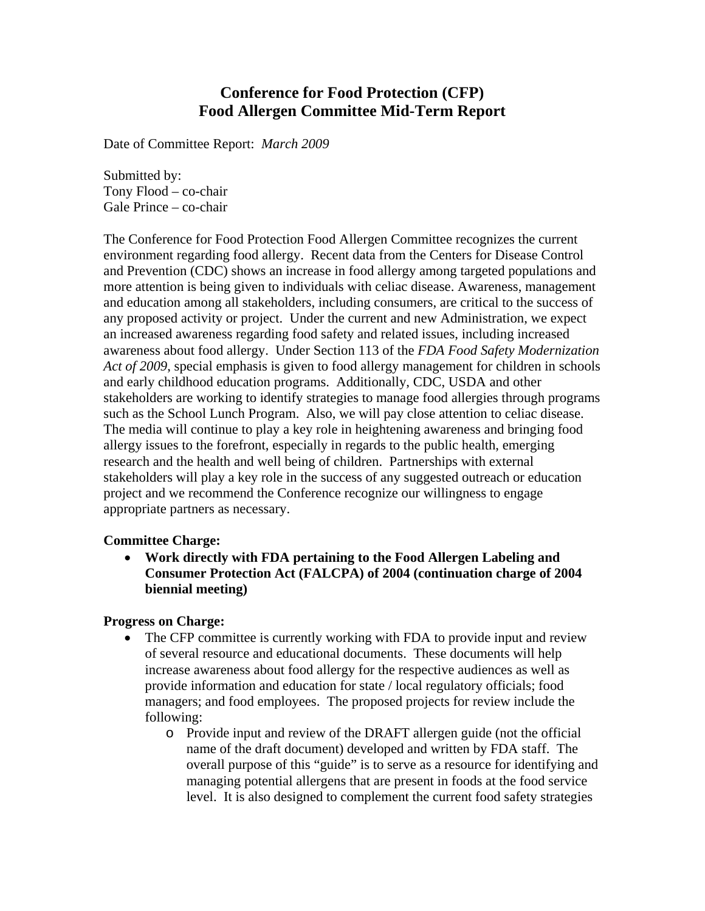# **Conference for Food Protection (CFP) Food Allergen Committee Mid-Term Report**

Date of Committee Report: *March 2009* 

Submitted by: Tony Flood – co-chair Gale Prince – co-chair

The Conference for Food Protection Food Allergen Committee recognizes the current environment regarding food allergy. Recent data from the Centers for Disease Control and Prevention (CDC) shows an increase in food allergy among targeted populations and more attention is being given to individuals with celiac disease. Awareness, management and education among all stakeholders, including consumers, are critical to the success of any proposed activity or project. Under the current and new Administration, we expect an increased awareness regarding food safety and related issues, including increased awareness about food allergy. Under Section 113 of the *FDA Food Safety Modernization Act of 2009*, special emphasis is given to food allergy management for children in schools and early childhood education programs. Additionally, CDC, USDA and other stakeholders are working to identify strategies to manage food allergies through programs such as the School Lunch Program. Also, we will pay close attention to celiac disease. The media will continue to play a key role in heightening awareness and bringing food allergy issues to the forefront, especially in regards to the public health, emerging research and the health and well being of children. Partnerships with external stakeholders will play a key role in the success of any suggested outreach or education project and we recommend the Conference recognize our willingness to engage appropriate partners as necessary.

#### **Committee Charge:**

• **Work directly with FDA pertaining to the Food Allergen Labeling and Consumer Protection Act (FALCPA) of 2004 (continuation charge of 2004 biennial meeting)** 

#### **Progress on Charge:**

- The CFP committee is currently working with FDA to provide input and review of several resource and educational documents. These documents will help increase awareness about food allergy for the respective audiences as well as provide information and education for state / local regulatory officials; food managers; and food employees. The proposed projects for review include the following:
	- o Provide input and review of the DRAFT allergen guide (not the official name of the draft document) developed and written by FDA staff. The overall purpose of this "guide" is to serve as a resource for identifying and managing potential allergens that are present in foods at the food service level. It is also designed to complement the current food safety strategies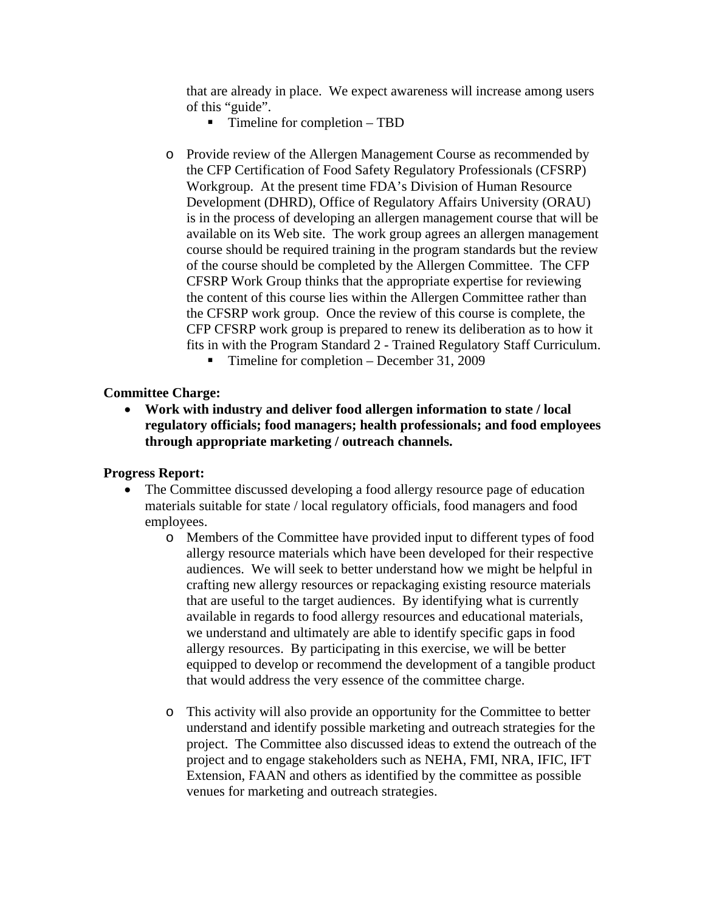that are already in place. We expect awareness will increase among users of this "guide".

- Timeline for completion TBD
- o Provide review of the Allergen Management Course as recommended by the CFP Certification of Food Safety Regulatory Professionals (CFSRP) Workgroup. At the present time FDA's Division of Human Resource Development (DHRD), Office of Regulatory Affairs University (ORAU) is in the process of developing an allergen management course that will be available on its Web site. The work group agrees an allergen management course should be required training in the program standards but the review of the course should be completed by the Allergen Committee. The CFP CFSRP Work Group thinks that the appropriate expertise for reviewing the content of this course lies within the Allergen Committee rather than the CFSRP work group. Once the review of this course is complete, the CFP CFSRP work group is prepared to renew its deliberation as to how it fits in with the Program Standard 2 - Trained Regulatory Staff Curriculum.
	- Timeline for completion December 31, 2009

### **Committee Charge:**

• **Work with industry and deliver food allergen information to state / local regulatory officials; food managers; health professionals; and food employees through appropriate marketing / outreach channels.** 

#### **Progress Report:**

- The Committee discussed developing a food allergy resource page of education materials suitable for state / local regulatory officials, food managers and food employees.
	- o Members of the Committee have provided input to different types of food allergy resource materials which have been developed for their respective audiences. We will seek to better understand how we might be helpful in crafting new allergy resources or repackaging existing resource materials that are useful to the target audiences. By identifying what is currently available in regards to food allergy resources and educational materials, we understand and ultimately are able to identify specific gaps in food allergy resources. By participating in this exercise, we will be better equipped to develop or recommend the development of a tangible product that would address the very essence of the committee charge.
	- o This activity will also provide an opportunity for the Committee to better understand and identify possible marketing and outreach strategies for the project. The Committee also discussed ideas to extend the outreach of the project and to engage stakeholders such as NEHA, FMI, NRA, IFIC, IFT Extension, FAAN and others as identified by the committee as possible venues for marketing and outreach strategies.